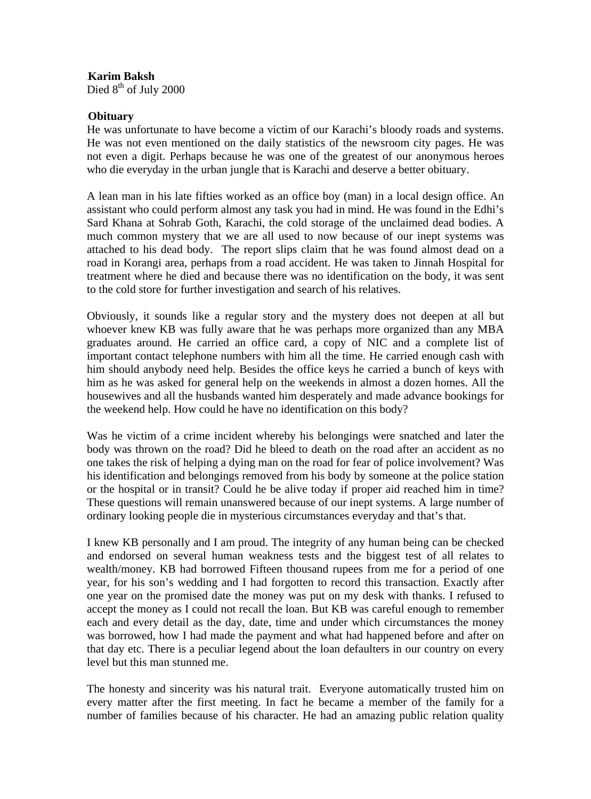0B**Karim Baksh**  Died  $8<sup>th</sup>$  of July 2000

## **Obituary**

He was unfortunate to have become a victim of our Karachi's bloody roads and systems. He was not even mentioned on the daily statistics of the newsroom city pages. He was not even a digit. Perhaps because he was one of the greatest of our anonymous heroes who die everyday in the urban jungle that is Karachi and deserve a better obituary.

A lean man in his late fifties worked as an office boy (man) in a local design office. An assistant who could perform almost any task you had in mind. He was found in the Edhi's Sard Khana at Sohrab Goth, Karachi, the cold storage of the unclaimed dead bodies. A much common mystery that we are all used to now because of our inept systems was attached to his dead body. The report slips claim that he was found almost dead on a road in Korangi area, perhaps from a road accident. He was taken to Jinnah Hospital for treatment where he died and because there was no identification on the body, it was sent to the cold store for further investigation and search of his relatives.

Obviously, it sounds like a regular story and the mystery does not deepen at all but whoever knew KB was fully aware that he was perhaps more organized than any MBA graduates around. He carried an office card, a copy of NIC and a complete list of important contact telephone numbers with him all the time. He carried enough cash with him should anybody need help. Besides the office keys he carried a bunch of keys with him as he was asked for general help on the weekends in almost a dozen homes. All the housewives and all the husbands wanted him desperately and made advance bookings for the weekend help. How could he have no identification on this body?

Was he victim of a crime incident whereby his belongings were snatched and later the body was thrown on the road? Did he bleed to death on the road after an accident as no one takes the risk of helping a dying man on the road for fear of police involvement? Was his identification and belongings removed from his body by someone at the police station or the hospital or in transit? Could he be alive today if proper aid reached him in time? These questions will remain unanswered because of our inept systems. A large number of ordinary looking people die in mysterious circumstances everyday and that's that.

I knew KB personally and I am proud. The integrity of any human being can be checked and endorsed on several human weakness tests and the biggest test of all relates to wealth/money. KB had borrowed Fifteen thousand rupees from me for a period of one year, for his son's wedding and I had forgotten to record this transaction. Exactly after one year on the promised date the money was put on my desk with thanks. I refused to accept the money as I could not recall the loan. But KB was careful enough to remember each and every detail as the day, date, time and under which circumstances the money was borrowed, how I had made the payment and what had happened before and after on that day etc. There is a peculiar legend about the loan defaulters in our country on every level but this man stunned me.

The honesty and sincerity was his natural trait. Everyone automatically trusted him on every matter after the first meeting. In fact he became a member of the family for a number of families because of his character. He had an amazing public relation quality